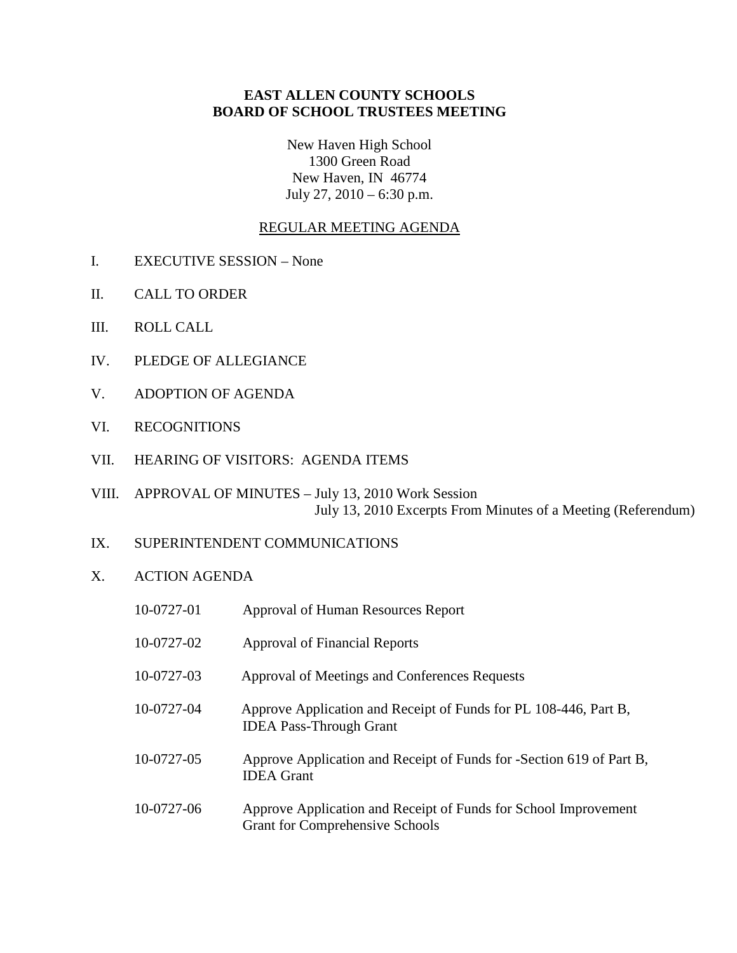## **EAST ALLEN COUNTY SCHOOLS BOARD OF SCHOOL TRUSTEES MEETING**

New Haven High School 1300 Green Road New Haven, IN 46774 July 27, 2010 – 6:30 p.m.

## REGULAR MEETING AGENDA

- I. EXECUTIVE SESSION None
- II. CALL TO ORDER
- III. ROLL CALL
- IV. PLEDGE OF ALLEGIANCE
- V. ADOPTION OF AGENDA
- VI. RECOGNITIONS
- VII. HEARING OF VISITORS: AGENDA ITEMS
- VIII. APPROVAL OF MINUTES July 13, 2010 Work Session July 13, 2010 Excerpts From Minutes of a Meeting (Referendum)
- IX. SUPERINTENDENT COMMUNICATIONS
- X. ACTION AGENDA

| 10-0727-01 | Approval of Human Resources Report                                                                        |
|------------|-----------------------------------------------------------------------------------------------------------|
| 10-0727-02 | Approval of Financial Reports                                                                             |
| 10-0727-03 | Approval of Meetings and Conferences Requests                                                             |
| 10-0727-04 | Approve Application and Receipt of Funds for PL 108-446, Part B,<br><b>IDEA</b> Pass-Through Grant        |
| 10-0727-05 | Approve Application and Receipt of Funds for -Section 619 of Part B,<br><b>IDEA</b> Grant                 |
| 10-0727-06 | Approve Application and Receipt of Funds for School Improvement<br><b>Grant for Comprehensive Schools</b> |